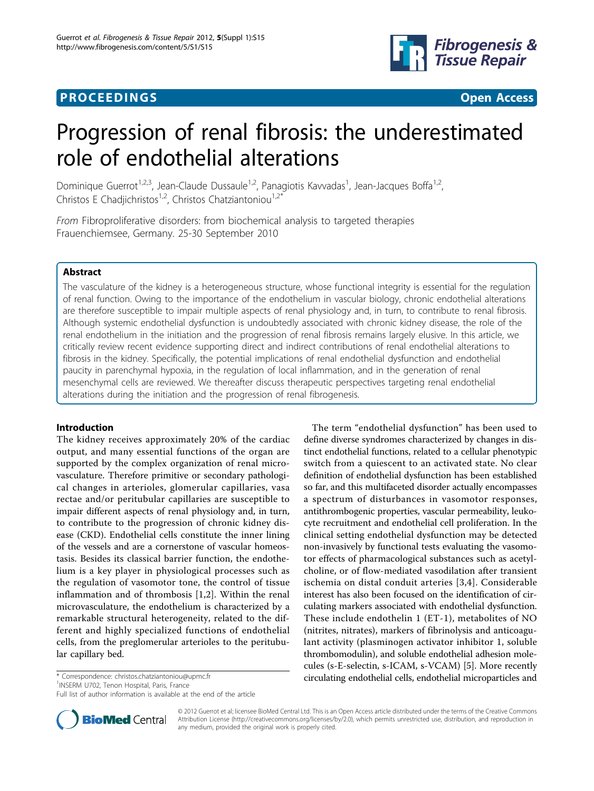# **PROCEEDINGS STATE AND SERVICE SERVICE SERVICE SERVICE SERVICE SERVICE SERVICE SERVICE SERVICE SERVICE SERVICE SERVICE SERVICE SERVICE SERVICE SERVICE SERVICE SERVICE SERVICE SERVICE SERVICE SERVICE SERVICE SERVICE SERVI**



# Progression of renal fibrosis: the underestimated role of endothelial alterations

Dominique Guerrot<sup>1,2,3</sup>, Jean-Claude Dussaule<sup>1,2</sup>, Panagiotis Kavvadas<sup>1</sup>, Jean-Jacques Boffa<sup>1,2</sup>, Christos E Chadiichristos<sup>1,2</sup>, Christos Chatziantoniou<sup>1,2\*</sup>

From Fibroproliferative disorders: from biochemical analysis to targeted therapies Frauenchiemsee, Germany. 25-30 September 2010

# Abstract

The vasculature of the kidney is a heterogeneous structure, whose functional integrity is essential for the regulation of renal function. Owing to the importance of the endothelium in vascular biology, chronic endothelial alterations are therefore susceptible to impair multiple aspects of renal physiology and, in turn, to contribute to renal fibrosis. Although systemic endothelial dysfunction is undoubtedly associated with chronic kidney disease, the role of the renal endothelium in the initiation and the progression of renal fibrosis remains largely elusive. In this article, we critically review recent evidence supporting direct and indirect contributions of renal endothelial alterations to fibrosis in the kidney. Specifically, the potential implications of renal endothelial dysfunction and endothelial paucity in parenchymal hypoxia, in the regulation of local inflammation, and in the generation of renal mesenchymal cells are reviewed. We thereafter discuss therapeutic perspectives targeting renal endothelial alterations during the initiation and the progression of renal fibrogenesis.

# Introduction

The kidney receives approximately 20% of the cardiac output, and many essential functions of the organ are supported by the complex organization of renal microvasculature. Therefore primitive or secondary pathological changes in arterioles, glomerular capillaries, vasa rectae and/or peritubular capillaries are susceptible to impair different aspects of renal physiology and, in turn, to contribute to the progression of chronic kidney disease (CKD). Endothelial cells constitute the inner lining of the vessels and are a cornerstone of vascular homeostasis. Besides its classical barrier function, the endothelium is a key player in physiological processes such as the regulation of vasomotor tone, the control of tissue inflammation and of thrombosis [\[1](#page-4-0),[2\]](#page-4-0). Within the renal microvasculature, the endothelium is characterized by a remarkable structural heterogeneity, related to the different and highly specialized functions of endothelial cells, from the preglomerular arterioles to the peritubular capillary bed.

<sup>1</sup>INSERM U702, Tenon Hospital, Paris, France

Full list of author information is available at the end of the article

The term "endothelial dysfunction" has been used to define diverse syndromes characterized by changes in distinct endothelial functions, related to a cellular phenotypic switch from a quiescent to an activated state. No clear definition of endothelial dysfunction has been established so far, and this multifaceted disorder actually encompasses a spectrum of disturbances in vasomotor responses, antithrombogenic properties, vascular permeability, leukocyte recruitment and endothelial cell proliferation. In the clinical setting endothelial dysfunction may be detected non-invasively by functional tests evaluating the vasomotor effects of pharmacological substances such as acetylcholine, or of flow-mediated vasodilation after transient ischemia on distal conduit arteries [[3,4\]](#page-4-0). Considerable interest has also been focused on the identification of circulating markers associated with endothelial dysfunction. These include endothelin 1 (ET-1), metabolites of NO (nitrites, nitrates), markers of fibrinolysis and anticoagulant activity (plasminogen activator inhibitor 1, soluble thrombomodulin), and soluble endothelial adhesion molecules (s-E-selectin, s-ICAM, s-VCAM) [[5\]](#page-4-0). More recently \* Correspondence: [christos.chatziantoniou@upmc.fr](mailto:christos.chatziantoniou@upmc.fr) circulating endothelial cells, endothelial microparticles and



© 2012 Guerrot et al; licensee BioMed Central Ltd. This is an Open Access article distributed under the terms of the Creative Commons Attribution License [\(http://creativecommons.org/licenses/by/2.0](http://creativecommons.org/licenses/by/2.0)), which permits unrestricted use, distribution, and reproduction in any medium, provided the original work is properly cited.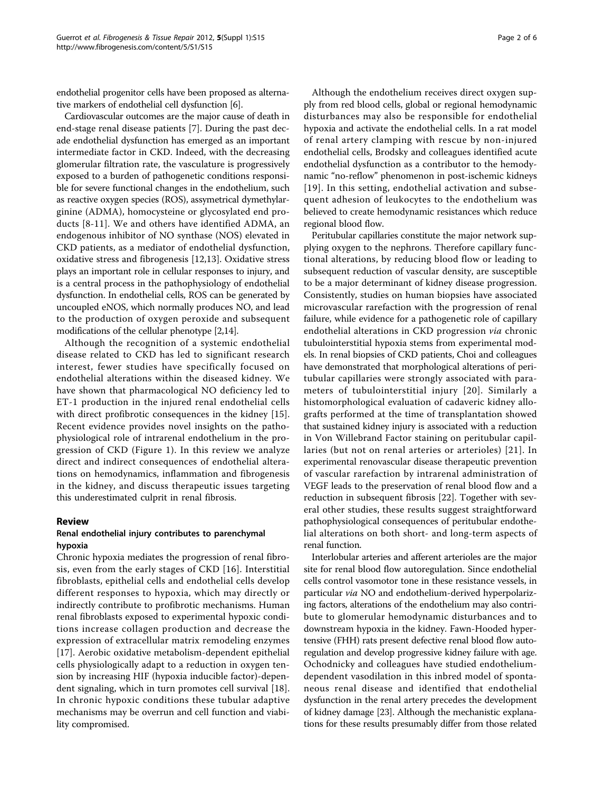endothelial progenitor cells have been proposed as alternative markers of endothelial cell dysfunction [[6\]](#page-4-0).

Cardiovascular outcomes are the major cause of death in end-stage renal disease patients [\[7](#page-4-0)]. During the past decade endothelial dysfunction has emerged as an important intermediate factor in CKD. Indeed, with the decreasing glomerular filtration rate, the vasculature is progressively exposed to a burden of pathogenetic conditions responsible for severe functional changes in the endothelium, such as reactive oxygen species (ROS), assymetrical dymethylarginine (ADMA), homocysteine or glycosylated end products [[8-11\]](#page-4-0). We and others have identified ADMA, an endogenous inhibitor of NO synthase (NOS) elevated in CKD patients, as a mediator of endothelial dysfunction, oxidative stress and fibrogenesis [\[12,13](#page-4-0)]. Oxidative stress plays an important role in cellular responses to injury, and is a central process in the pathophysiology of endothelial dysfunction. In endothelial cells, ROS can be generated by uncoupled eNOS, which normally produces NO, and lead to the production of oxygen peroxide and subsequent modifications of the cellular phenotype [[2,14](#page-4-0)].

Although the recognition of a systemic endothelial disease related to CKD has led to significant research interest, fewer studies have specifically focused on endothelial alterations within the diseased kidney. We have shown that pharmacological NO deficiency led to ET-1 production in the injured renal endothelial cells with direct profibrotic consequences in the kidney [\[15](#page-4-0)]. Recent evidence provides novel insights on the pathophysiological role of intrarenal endothelium in the progression of CKD (Figure [1](#page-2-0)). In this review we analyze direct and indirect consequences of endothelial alterations on hemodynamics, inflammation and fibrogenesis in the kidney, and discuss therapeutic issues targeting this underestimated culprit in renal fibrosis.

#### Review

# Renal endothelial injury contributes to parenchymal hypoxia

Chronic hypoxia mediates the progression of renal fibrosis, even from the early stages of CKD [[16](#page-4-0)]. Interstitial fibroblasts, epithelial cells and endothelial cells develop different responses to hypoxia, which may directly or indirectly contribute to profibrotic mechanisms. Human renal fibroblasts exposed to experimental hypoxic conditions increase collagen production and decrease the expression of extracellular matrix remodeling enzymes [[17\]](#page-4-0). Aerobic oxidative metabolism-dependent epithelial cells physiologically adapt to a reduction in oxygen tension by increasing HIF (hypoxia inducible factor)-dependent signaling, which in turn promotes cell survival [\[18](#page-4-0)]. In chronic hypoxic conditions these tubular adaptive mechanisms may be overrun and cell function and viability compromised.

Although the endothelium receives direct oxygen supply from red blood cells, global or regional hemodynamic disturbances may also be responsible for endothelial hypoxia and activate the endothelial cells. In a rat model of renal artery clamping with rescue by non-injured endothelial cells, Brodsky and colleagues identified acute endothelial dysfunction as a contributor to the hemodynamic "no-reflow" phenomenon in post-ischemic kidneys [[19\]](#page-4-0). In this setting, endothelial activation and subsequent adhesion of leukocytes to the endothelium was believed to create hemodynamic resistances which reduce regional blood flow.

Peritubular capillaries constitute the major network supplying oxygen to the nephrons. Therefore capillary functional alterations, by reducing blood flow or leading to subsequent reduction of vascular density, are susceptible to be a major determinant of kidney disease progression. Consistently, studies on human biopsies have associated microvascular rarefaction with the progression of renal failure, while evidence for a pathogenetic role of capillary endothelial alterations in CKD progression via chronic tubulointerstitial hypoxia stems from experimental models. In renal biopsies of CKD patients, Choi and colleagues have demonstrated that morphological alterations of peritubular capillaries were strongly associated with parameters of tubulointerstitial injury [[20\]](#page-4-0). Similarly a histomorphological evaluation of cadaveric kidney allografts performed at the time of transplantation showed that sustained kidney injury is associated with a reduction in Von Willebrand Factor staining on peritubular capillaries (but not on renal arteries or arterioles) [[21](#page-4-0)]. In experimental renovascular disease therapeutic prevention of vascular rarefaction by intrarenal administration of VEGF leads to the preservation of renal blood flow and a reduction in subsequent fibrosis [[22\]](#page-5-0). Together with several other studies, these results suggest straightforward pathophysiological consequences of peritubular endothelial alterations on both short- and long-term aspects of renal function.

Interlobular arteries and afferent arterioles are the major site for renal blood flow autoregulation. Since endothelial cells control vasomotor tone in these resistance vessels, in particular via NO and endothelium-derived hyperpolarizing factors, alterations of the endothelium may also contribute to glomerular hemodynamic disturbances and to downstream hypoxia in the kidney. Fawn-Hooded hypertensive (FHH) rats present defective renal blood flow autoregulation and develop progressive kidney failure with age. Ochodnicky and colleagues have studied endotheliumdependent vasodilation in this inbred model of spontaneous renal disease and identified that endothelial dysfunction in the renal artery precedes the development of kidney damage [[23\]](#page-5-0). Although the mechanistic explanations for these results presumably differ from those related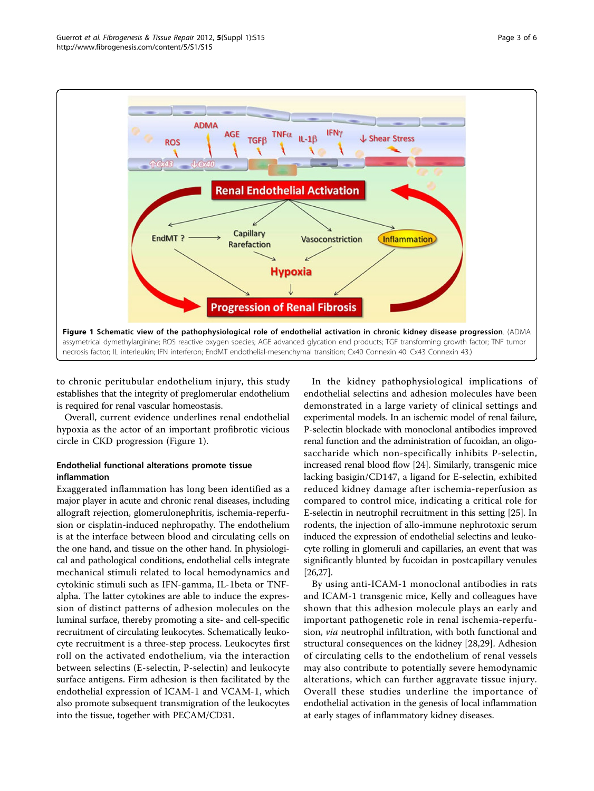<span id="page-2-0"></span>

to chronic peritubular endothelium injury, this study establishes that the integrity of preglomerular endothelium is required for renal vascular homeostasis.

Overall, current evidence underlines renal endothelial hypoxia as the actor of an important profibrotic vicious circle in CKD progression (Figure 1).

# Endothelial functional alterations promote tissue inflammation

Exaggerated inflammation has long been identified as a major player in acute and chronic renal diseases, including allograft rejection, glomerulonephritis, ischemia-reperfusion or cisplatin-induced nephropathy. The endothelium is at the interface between blood and circulating cells on the one hand, and tissue on the other hand. In physiological and pathological conditions, endothelial cells integrate mechanical stimuli related to local hemodynamics and cytokinic stimuli such as IFN-gamma, IL-1beta or TNFalpha. The latter cytokines are able to induce the expression of distinct patterns of adhesion molecules on the luminal surface, thereby promoting a site- and cell-specific recruitment of circulating leukocytes. Schematically leukocyte recruitment is a three-step process. Leukocytes first roll on the activated endothelium, via the interaction between selectins (E-selectin, P-selectin) and leukocyte surface antigens. Firm adhesion is then facilitated by the endothelial expression of ICAM-1 and VCAM-1, which also promote subsequent transmigration of the leukocytes into the tissue, together with PECAM/CD31.

In the kidney pathophysiological implications of endothelial selectins and adhesion molecules have been demonstrated in a large variety of clinical settings and experimental models. In an ischemic model of renal failure, P-selectin blockade with monoclonal antibodies improved renal function and the administration of fucoidan, an oligosaccharide which non-specifically inhibits P-selectin, increased renal blood flow [\[24\]](#page-5-0). Similarly, transgenic mice lacking basigin/CD147, a ligand for E-selectin, exhibited reduced kidney damage after ischemia-reperfusion as compared to control mice, indicating a critical role for E-selectin in neutrophil recruitment in this setting [\[25](#page-5-0)]. In rodents, the injection of allo-immune nephrotoxic serum induced the expression of endothelial selectins and leukocyte rolling in glomeruli and capillaries, an event that was significantly blunted by fucoidan in postcapillary venules [[26,27\]](#page-5-0).

By using anti-ICAM-1 monoclonal antibodies in rats and ICAM-1 transgenic mice, Kelly and colleagues have shown that this adhesion molecule plays an early and important pathogenetic role in renal ischemia-reperfusion, via neutrophil infiltration, with both functional and structural consequences on the kidney [\[28,29](#page-5-0)]. Adhesion of circulating cells to the endothelium of renal vessels may also contribute to potentially severe hemodynamic alterations, which can further aggravate tissue injury. Overall these studies underline the importance of endothelial activation in the genesis of local inflammation at early stages of inflammatory kidney diseases.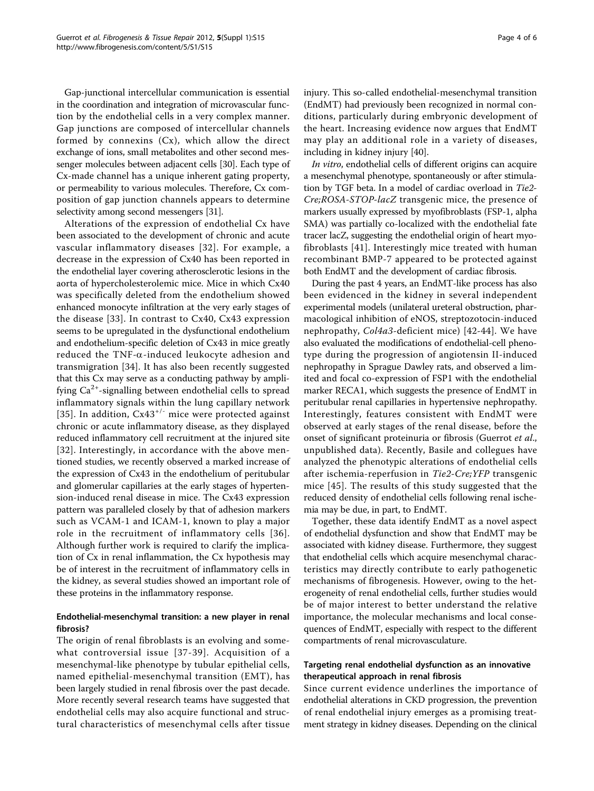Gap-junctional intercellular communication is essential in the coordination and integration of microvascular function by the endothelial cells in a very complex manner. Gap junctions are composed of intercellular channels formed by connexins (Cx), which allow the direct exchange of ions, small metabolites and other second messenger molecules between adjacent cells [\[30\]](#page-5-0). Each type of Cx-made channel has a unique inherent gating property, or permeability to various molecules. Therefore, Cx composition of gap junction channels appears to determine selectivity among second messengers [\[31\]](#page-5-0).

Alterations of the expression of endothelial Cx have been associated to the development of chronic and acute vascular inflammatory diseases [[32\]](#page-5-0). For example, a decrease in the expression of Cx40 has been reported in the endothelial layer covering atherosclerotic lesions in the aorta of hypercholesterolemic mice. Mice in which Cx40 was specifically deleted from the endothelium showed enhanced monocyte infiltration at the very early stages of the disease [\[33\]](#page-5-0). In contrast to Cx40, Cx43 expression seems to be upregulated in the dysfunctional endothelium and endothelium-specific deletion of Cx43 in mice greatly reduced the TNF- $\alpha$ -induced leukocyte adhesion and transmigration [\[34](#page-5-0)]. It has also been recently suggested that this Cx may serve as a conducting pathway by amplifying  $Ca^{2+}$ -signalling between endothelial cells to spread inflammatory signals within the lung capillary network [[35](#page-5-0)]. In addition,  $Cx43^{+/}$  mice were protected against chronic or acute inflammatory disease, as they displayed reduced inflammatory cell recruitment at the injured site [[32](#page-5-0)]. Interestingly, in accordance with the above mentioned studies, we recently observed a marked increase of the expression of Cx43 in the endothelium of peritubular and glomerular capillaries at the early stages of hypertension-induced renal disease in mice. The Cx43 expression pattern was paralleled closely by that of adhesion markers such as VCAM-1 and ICAM-1, known to play a major role in the recruitment of inflammatory cells [[36\]](#page-5-0). Although further work is required to clarify the implication of Cx in renal inflammation, the Cx hypothesis may be of interest in the recruitment of inflammatory cells in the kidney, as several studies showed an important role of these proteins in the inflammatory response.

# Endothelial-mesenchymal transition: a new player in renal fibrosis?

The origin of renal fibroblasts is an evolving and somewhat controversial issue [[37-39\]](#page-5-0). Acquisition of a mesenchymal-like phenotype by tubular epithelial cells, named epithelial-mesenchymal transition (EMT), has been largely studied in renal fibrosis over the past decade. More recently several research teams have suggested that endothelial cells may also acquire functional and structural characteristics of mesenchymal cells after tissue injury. This so-called endothelial-mesenchymal transition (EndMT) had previously been recognized in normal conditions, particularly during embryonic development of the heart. Increasing evidence now argues that EndMT may play an additional role in a variety of diseases, including in kidney injury [\[40\]](#page-5-0).

In vitro, endothelial cells of different origins can acquire a mesenchymal phenotype, spontaneously or after stimulation by TGF beta. In a model of cardiac overload in Tie2- Cre;ROSA-STOP-lacZ transgenic mice, the presence of markers usually expressed by myofibroblasts (FSP-1, alpha SMA) was partially co-localized with the endothelial fate tracer lacZ, suggesting the endothelial origin of heart myofibroblasts [[41\]](#page-5-0). Interestingly mice treated with human recombinant BMP-7 appeared to be protected against both EndMT and the development of cardiac fibrosis.

During the past 4 years, an EndMT-like process has also been evidenced in the kidney in several independent experimental models (unilateral ureteral obstruction, pharmacological inhibition of eNOS, streptozotocin-induced nephropathy, Col4a3-deficient mice) [\[42-44\]](#page-5-0). We have also evaluated the modifications of endothelial-cell phenotype during the progression of angiotensin II-induced nephropathy in Sprague Dawley rats, and observed a limited and focal co-expression of FSP1 with the endothelial marker RECA1, which suggests the presence of EndMT in peritubular renal capillaries in hypertensive nephropathy. Interestingly, features consistent with EndMT were observed at early stages of the renal disease, before the onset of significant proteinuria or fibrosis (Guerrot et al., unpublished data). Recently, Basile and collegues have analyzed the phenotypic alterations of endothelial cells after ischemia-reperfusion in Tie2-Cre;YFP transgenic mice [[45](#page-5-0)]. The results of this study suggested that the reduced density of endothelial cells following renal ischemia may be due, in part, to EndMT.

Together, these data identify EndMT as a novel aspect of endothelial dysfunction and show that EndMT may be associated with kidney disease. Furthermore, they suggest that endothelial cells which acquire mesenchymal characteristics may directly contribute to early pathogenetic mechanisms of fibrogenesis. However, owing to the heterogeneity of renal endothelial cells, further studies would be of major interest to better understand the relative importance, the molecular mechanisms and local consequences of EndMT, especially with respect to the different compartments of renal microvasculature.

# Targeting renal endothelial dysfunction as an innovative therapeutical approach in renal fibrosis

Since current evidence underlines the importance of endothelial alterations in CKD progression, the prevention of renal endothelial injury emerges as a promising treatment strategy in kidney diseases. Depending on the clinical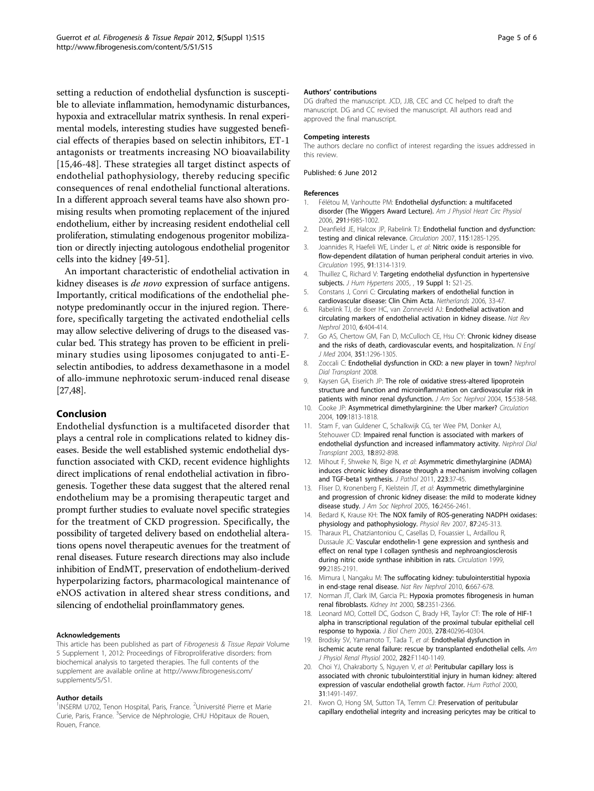<span id="page-4-0"></span>setting a reduction of endothelial dysfunction is susceptible to alleviate inflammation, hemodynamic disturbances, hypoxia and extracellular matrix synthesis. In renal experimental models, interesting studies have suggested beneficial effects of therapies based on selectin inhibitors, ET-1 antagonists or treatments increasing NO bioavailability [15[,46](#page-5-0)-[48](#page-5-0)]. These strategies all target distinct aspects of endothelial pathophysiology, thereby reducing specific consequences of renal endothelial functional alterations. In a different approach several teams have also shown promising results when promoting replacement of the injured endothelium, either by increasing resident endothelial cell proliferation, stimulating endogenous progenitor mobilization or directly injecting autologous endothelial progenitor cells into the kidney [\[49-51\]](#page-5-0).

An important characteristic of endothelial activation in kidney diseases is de novo expression of surface antigens. Importantly, critical modifications of the endothelial phenotype predominantly occur in the injured region. Therefore, specifically targeting the activated endothelial cells may allow selective delivering of drugs to the diseased vascular bed. This strategy has proven to be efficient in preliminary studies using liposomes conjugated to anti-Eselectin antibodies, to address dexamethasone in a model of allo-immune nephrotoxic serum-induced renal disease [[27,48\]](#page-5-0).

#### Conclusion

Endothelial dysfunction is a multifaceted disorder that plays a central role in complications related to kidney diseases. Beside the well established systemic endothelial dysfunction associated with CKD, recent evidence highlights direct implications of renal endothelial activation in fibrogenesis. Together these data suggest that the altered renal endothelium may be a promising therapeutic target and prompt further studies to evaluate novel specific strategies for the treatment of CKD progression. Specifically, the possibility of targeted delivery based on endothelial alterations opens novel therapeutic avenues for the treatment of renal diseases. Future research directions may also include inhibition of EndMT, preservation of endothelium-derived hyperpolarizing factors, pharmacological maintenance of eNOS activation in altered shear stress conditions, and silencing of endothelial proinflammatory genes.

#### Acknowledgements

This article has been published as part of Fibrogenesis & Tissue Repair Volume 5 Supplement 1, 2012: Proceedings of Fibroproliferative disorders: from biochemical analysis to targeted therapies. The full contents of the supplement are available online at [http://www.fibrogenesis.com/](http://www.fibrogenesis.com/supplements/5/S1) [supplements/5/S1.](http://www.fibrogenesis.com/supplements/5/S1)

#### Author details

<sup>1</sup>INSERM U702, Tenon Hospital, Paris, France. <sup>2</sup>Université Pierre et Marie Curie, Paris, France. <sup>3</sup>Service de Néphrologie, CHU Hôpitaux de Rouen, Rouen, France.

#### Authors' contributions

DG drafted the manuscript. JCD, JJB, CEC and CC helped to draft the manuscript. DG and CC revised the manuscript. All authors read and approved the final manuscript.

#### Competing interests

The authors declare no conflict of interest regarding the issues addressed in this review.

#### Published: 6 June 2012

#### References

- 1. Félétou M, Vanhoutte PM: Endothelial dysfunction: a multifaceted disorder (The Wiggers Award Lecture). Am J Physiol Heart Circ Physiol 2006, 291:H985-1002.
- 2. Deanfield JE, Halcox JP, Rabelink TJ: Endothelial function and dysfunction: testing and clinical relevance. Circulation 2007, 115:1285-1295.
- 3. Joannides R, Haefeli WE, Linder L, et al: Nitric oxide is responsible for flow-dependent dilatation of human peripheral conduit arteries in vivo. Circulation 1995, 91:1314-1319.
- 4. Thuillez C, Richard V: Targeting endothelial dysfunction in hypertensive subjects. J Hum Hypertens 2005, , 19 Suppl 1: S21-25.
- 5. Constans J, Conri C: Circulating markers of endothelial function in cardiovascular disease: Clin Chim Acta. Netherlands 2006, 33-47.
- 6. Rabelink TJ, de Boer HC, van Zonneveld AJ: Endothelial activation and circulating markers of endothelial activation in kidney disease. Nat Rev Nephrol 2010, 6:404-414.
- 7. Go AS, Chertow GM, Fan D, McCulloch CE, Hsu CY: Chronic kidney disease and the risks of death, cardiovascular events, and hospitalization. N Engl J Med 2004, 351:1296-1305.
- 8. Zoccali C: Endothelial dysfunction in CKD: a new player in town? Nephrol Dial Transplant 2008.
- 9. Kaysen GA, Eiserich JP: The role of oxidative stress-altered lipoprotein structure and function and microinflammation on cardiovascular risk in patients with minor renal dysfunction. J Am Soc Nephrol 2004, 15:538-548.
- 10. Cooke JP: Asymmetrical dimethylarginine: the Uber marker? Circulation 2004, 109:1813-1818.
- 11. Stam F, van Guldener C, Schalkwijk CG, ter Wee PM, Donker AJ, Stehouwer CD: Impaired renal function is associated with markers of endothelial dysfunction and increased inflammatory activity. Nephrol Dial Transplant 2003, 18:892-898.
- 12. Mihout F, Shweke N, Bige N, et al: Asymmetric dimethylarginine (ADMA) induces chronic kidney disease through a mechanism involving collagen and TGF-beta1 synthesis. J Pathol 2011, 223:37-45.
- 13. Fliser D, Kronenberg F, Kielstein JT, et al: Asymmetric dimethylarginine and progression of chronic kidney disease: the mild to moderate kidney disease study. J Am Soc Nephrol 2005, 16:2456-2461.
- 14. Bedard K, Krause KH: The NOX family of ROS-generating NADPH oxidases: physiology and pathophysiology. Physiol Rev 2007, 87:245-313.
- 15. Tharaux PL, Chatziantoniou C, Casellas D, Fouassier L, Ardaillou R, Dussaule JC: Vascular endothelin-1 gene expression and synthesis and effect on renal type I collagen synthesis and nephroangiosclerosis during nitric oxide synthase inhibition in rats. Circulation 1999, 99:2185-2191.
- 16. Mimura I, Nangaku M: The suffocating kidney: tubulointerstitial hypoxia in end-stage renal disease. Nat Rev Nephrol 2010, 6:667-678.
- Norman JT, Clark IM, Garcia PL: Hypoxia promotes fibrogenesis in human renal fibroblasts. Kidney Int 2000, 58:2351-2366.
- 18. Leonard MO, Cottell DC, Godson C, Brady HR, Taylor CT: The role of HIF-1 alpha in transcriptional regulation of the proximal tubular epithelial cell response to hypoxia. J Biol Chem 2003, 278:40296-40304.
- 19. Brodsky SV, Yamamoto T, Tada T, et al: Endothelial dysfunction in ischemic acute renal failure: rescue by transplanted endothelial cells. Am J Physiol Renal Physiol 2002, 282:F1140-1149.
- 20. Choi YJ, Chakraborty S, Nguyen V, et al: Peritubular capillary loss is associated with chronic tubulointerstitial injury in human kidney: altered expression of vascular endothelial growth factor. Hum Pathol 2000, 31:1491-1497.
- 21. Kwon O, Hong SM, Sutton TA, Temm CJ: Preservation of peritubular capillary endothelial integrity and increasing pericytes may be critical to